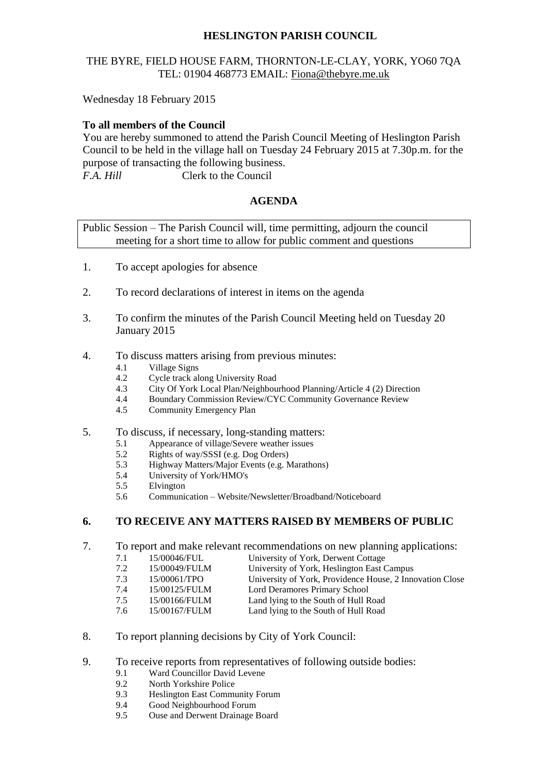# **HESLINGTON PARISH COUNCIL**

## THE BYRE, FIELD HOUSE FARM, THORNTON-LE-CLAY, YORK, YO60 7QA TEL: 01904 468773 EMAIL: [Fiona@thebyre.me.uk](mailto:Fiona@thebyre.me.uk)

Wednesday 18 February 2015

### **To all members of the Council**

You are hereby summoned to attend the Parish Council Meeting of Heslington Parish Council to be held in the village hall on Tuesday 24 February 2015 at 7.30p.m. for the purpose of transacting the following business. *F.A. Hill* Clerk to the Council

### **AGENDA**

Public Session – The Parish Council will, time permitting, adjourn the council meeting for a short time to allow for public comment and questions

- 1. To accept apologies for absence
- 2. To record declarations of interest in items on the agenda
- 3. To confirm the minutes of the Parish Council Meeting held on Tuesday 20 January 2015
- 4. To discuss matters arising from previous minutes:
	- 4.1 Village Signs<br>4.2 Cycle track al
	- 4.2 Cycle track along University Road<br>4.3 City Of York Local Plan/Neighbou
	- 4.3 City Of York Local Plan/Neighbourhood Planning/Article 4 (2) Direction
	- 4.4 Boundary Commission Review/CYC Community Governance Review
	- 4.5 Community Emergency Plan
- 5. To discuss, if necessary, long-standing matters:
	- 5.1 Appearance of village/Severe weather issues
	- 5.2 Rights of way/SSSI (e.g. Dog Orders)
	- 5.3 Highway Matters/Major Events (e.g. Marathons)
	- 5.4 University of York/HMO's
	- 5.5 Elvington
	- 5.6 Communication Website/Newsletter/Broadband/Noticeboard

## **6. TO RECEIVE ANY MATTERS RAISED BY MEMBERS OF PUBLIC**

- 7. To report and make relevant recommendations on new planning applications:<br>7.1 15/00046/FUL University of York, Derwent Cottage
	- 7.1 15/00046/FUL University of York, Derwent Cottage<br>
	7.2 15/00049/FULM University of York, Heslington East C
	- 15/00049/FULM University of York, Heslington East Campus<br>15/00061/TPO University of York, Providence House, 2 Inne
	- 7.3 15/00061/TPO University of York, Providence House, 2 Innovation Close<br>7.4 15/00125/FULM Lord Deramores Primary School
	- 7.4 15/00125/FULM Lord Deramores Primary School
	- 7.5 15/00166/FULM Land lying to the South of Hull Road
	- 7.6 15/00167/FULM Land lying to the South of Hull Road
- 8. To report planning decisions by City of York Council:
- 9. To receive reports from representatives of following outside bodies:
	- 9.1 Ward Councillor David Levene
	- 9.2 North Yorkshire Police
	- 9.3 Heslington East Community Forum
	- 9.4 Good Neighbourhood Forum
	- 9.5 Ouse and Derwent Drainage Board